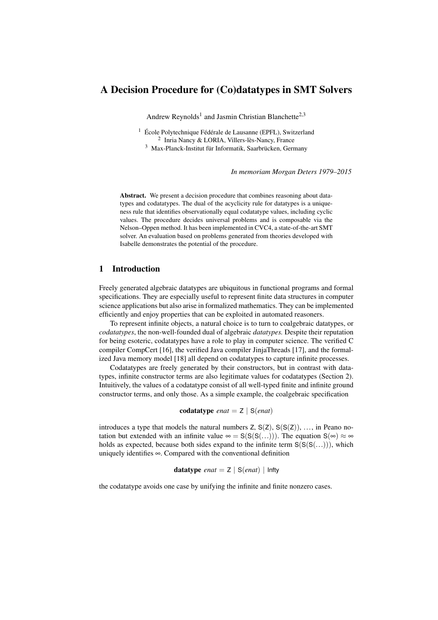# A Decision Procedure for (Co)datatypes in SMT Solvers

Andrew Reynolds<sup>1</sup> and Jasmin Christian Blanchette<sup>2,3</sup>

<sup>1</sup> École Polytechnique Fédérale de Lausanne (EPFL), Switzerland 2 Inria Nancy & LORIA, Villers-lès-Nancy, France <sup>3</sup> Max-Planck-Institut für Informatik, Saarbrücken, Germany

*In memoriam Morgan Deters 1979–2015*

Abstract. We present a decision procedure that combines reasoning about datatypes and codatatypes. The dual of the acyclicity rule for datatypes is a uniqueness rule that identifies observationally equal codatatype values, including cyclic values. The procedure decides universal problems and is composable via the Nelson–Oppen method. It has been implemented in CVC4, a state-of-the-art SMT solver. An evaluation based on problems generated from theories developed with Isabelle demonstrates the potential of the procedure.

### 1 Introduction

Freely generated algebraic datatypes are ubiquitous in functional programs and formal specifications. They are especially useful to represent finite data structures in computer science applications but also arise in formalized mathematics. They can be implemented efficiently and enjoy properties that can be exploited in automated reasoners.

To represent infinite objects, a natural choice is to turn to coalgebraic datatypes, or *codatatypes*, the non-well-founded dual of algebraic *datatypes.* Despite their reputation for being esoteric, codatatypes have a role to play in computer science. The verified C compiler CompCert [\[16\]](#page-18-0), the verified Java compiler JinjaThreads [\[17\]](#page-18-1), and the formalized Java memory model [\[18\]](#page-18-2) all depend on codatatypes to capture infinite processes.

Codatatypes are freely generated by their constructors, but in contrast with datatypes, infinite constructor terms are also legitimate values for codatatypes (Section [2\)](#page-2-0). Intuitively, the values of a codatatype consist of all well-typed finite and infinite ground constructor terms, and only those. As a simple example, the coalgebraic specification

$$
codatotype \text{ } exact = Z \mid S(\text{ }enat)
$$

introduces a type that models the natural numbers  $Z$ ,  $S(Z)$ ,  $S(S(Z))$ , ..., in Peano notation but extended with an infinite value  $\infty = S(S(S(...)))$ . The equation  $S(\infty) \approx \infty$ holds as expected, because both sides expand to the infinite term  $S(S(S(...)))$ , which uniquely identifies ∞. Compared with the conventional definition

**datatype** *enat* = 
$$
Z \mid S(enat) \mid
$$
 **Infty**

the codatatype avoids one case by unifying the infinite and finite nonzero cases.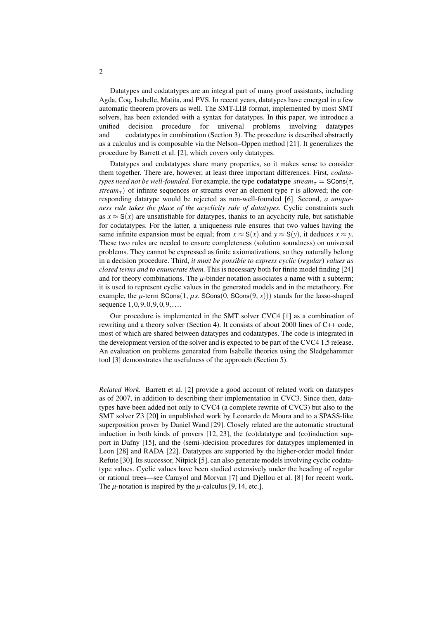Datatypes and codatatypes are an integral part of many proof assistants, including Agda, Coq, Isabelle, Matita, and PVS. In recent years, datatypes have emerged in a few automatic theorem provers as well. The SMT-LIB format, implemented by most SMT solvers, has been extended with a syntax for datatypes. In this paper, we introduce a unified decision procedure for universal problems involving datatypes and codatatypes in combination (Section [3\)](#page-5-0). The procedure is described abstractly as a calculus and is composable via the Nelson–Oppen method [\[21\]](#page-18-3). It generalizes the procedure by Barrett et al. [\[2\]](#page-17-0), which covers only datatypes.

Datatypes and codatatypes share many properties, so it makes sense to consider them together. There are, however, at least three important differences. First, *codatatypes need not be well-founded.* For example, the type **codatatype**  $stream_{\tau} =$  SCons( $\tau$ , *stream<sub>τ</sub>*) of infinite sequences or streams over an element type  $\tau$  is allowed; the corresponding datatype would be rejected as non-well-founded [\[6\]](#page-17-1). Second, *a uniqueness rule takes the place of the acyclicity rule of datatypes.* Cyclic constraints such as  $x \approx S(x)$  are unsatisfiable for datatypes, thanks to an acyclicity rule, but satisfiable for codatatypes. For the latter, a uniqueness rule ensures that two values having the same infinite expansion must be equal; from  $x \approx S(x)$  and  $y \approx S(y)$ , it deduces  $x \approx y$ . These two rules are needed to ensure completeness (solution soundness) on universal problems. They cannot be expressed as finite axiomatizations, so they naturally belong in a decision procedure. Third, *it must be possible to express cyclic* (*regular*) *values as closed terms and to enumerate them.* This is necessary both for finite model finding [\[24\]](#page-18-4) and for theory combinations. The  $\mu$ -binder notation associates a name with a subterm; it is used to represent cyclic values in the generated models and in the metatheory. For example, the  $\mu$ -term SCons(1,  $\mu$ s. SCons(0, SCons(9, s))) stands for the lasso-shaped sequence  $1,0,9,0,9,0,9,...$ 

Our procedure is implemented in the SMT solver CVC4 [\[1\]](#page-17-2) as a combination of rewriting and a theory solver (Section [4\)](#page-13-0). It consists of about 2000 lines of C++ code, most of which are shared between datatypes and codatatypes. The code is integrated in the development version of the solver and is expected to be part of the CVC4 1.5 release. An evaluation on problems generated from Isabelle theories using the Sledgehammer tool [\[3\]](#page-17-3) demonstrates the usefulness of the approach (Section [5\)](#page-15-0).

*Related Work.* Barrett et al. [\[2\]](#page-17-0) provide a good account of related work on datatypes as of 2007, in addition to describing their implementation in CVC3. Since then, datatypes have been added not only to CVC4 (a complete rewrite of CVC3) but also to the SMT solver Z3 [\[20\]](#page-18-5) in unpublished work by Leonardo de Moura and to a SPASS-like superposition prover by Daniel Wand [\[29\]](#page-18-6). Closely related are the automatic structural induction in both kinds of provers  $[12, 23]$  $[12, 23]$ , the (co)datatype and (co)induction support in Dafny [\[15\]](#page-18-8), and the (semi-)decision procedures for datatypes implemented in Leon [\[28\]](#page-18-9) and RADA [\[22\]](#page-18-10). Datatypes are supported by the higher-order model finder Refute [\[30\]](#page-18-11). Its successor, Nitpick [\[5\]](#page-17-5), can also generate models involving cyclic codatatype values. Cyclic values have been studied extensively under the heading of regular or rational trees—see Carayol and Morvan [\[7\]](#page-17-6) and Djellou et al. [\[8\]](#page-17-7) for recent work. The  $\mu$ -notation is inspired by the  $\mu$ -calculus [\[9,](#page-17-8) [14,](#page-17-9) etc.].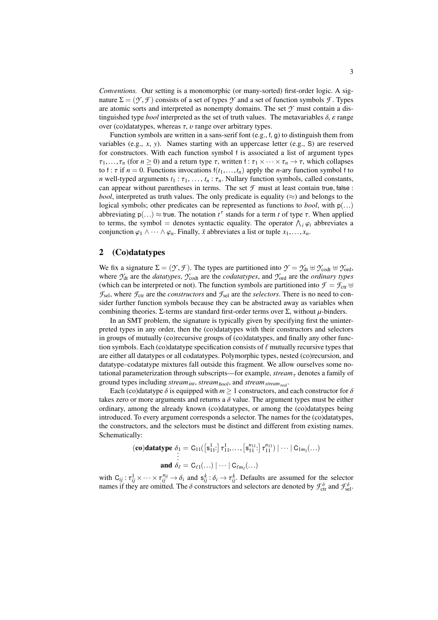*Conventions.* Our setting is a monomorphic (or many-sorted) first-order logic. A signature  $\Sigma = (\mathcal{Y}, \mathcal{F})$  consists of a set of types  $\mathcal{Y}$  and a set of function symbols  $\mathcal{F}$ . Types are atomic sorts and interpreted as nonempty domains. The set *Y* must contain a distinguished type *bool* interpreted as the set of truth values. The metavariables  $\delta$ ,  $\varepsilon$  range over (co)datatypes, whereas  $\tau$ ,  $\nu$  range over arbitrary types.

Function symbols are written in a sans-serif font (e.g., f, g) to distinguish them from variables (e.g., *x*, *y*). Names starting with an uppercase letter (e.g., S) are reserved for constructors. With each function symbol f is associated a list of argument types  $\tau_1, \ldots, \tau_n$  (for  $n \geq 0$ ) and a return type  $\tau$ , written f:  $\tau_1 \times \cdots \times \tau_n \to \tau$ , which collapses to f:  $\tau$  if  $n = 0$ . Functions invocations  $f(t_1,...,t_n)$  apply the *n*-ary function symbol f to *n* well-typed arguments  $t_1 : \tau_1, \ldots, t_n : \tau_n$ . Nullary function symbols, called constants, can appear without parentheses in terms. The set  $\mathcal F$  must at least contain true, false : *bool*, interpreted as truth values. The only predicate is equality  $(\approx)$  and belongs to the logical symbols; other predicates can be represented as functions to *bool*, with <sup>p</sup>(...) abbreviating  $p(...) \approx true$ . The notation  $t^{\tau}$  stands for a term *t* of type  $\tau$ . When applied to terms the symbol  $-\tau$  denotes syntactic equality. The operator  $\Lambda_{\tau}(q)$  abbreviates a to terms, the symbol = denotes syntactic equality. The operator  $\bigwedge_i \varphi_i$  abbreviates a<br>conjunction  $\bigotimes_i \bigwedge_i \bigotimes_i \bigtriangleup_i$  Finally  $\bar{x}$  abbreviates a list or tuple  $x_i$ conjunction  $\varphi_1 \wedge \cdots \wedge \varphi_n$ . Finally,  $\bar{x}$  abbreviates a list or tuple  $x_1, \ldots, x_n$ .

### <span id="page-2-0"></span>2 (Co)datatypes

We fix a signature  $\Sigma = (\mathcal{Y}, \mathcal{F})$ . The types are partitioned into  $\mathcal{Y} = \mathcal{Y}_{dt} \oplus \mathcal{Y}_{cot}$   $\oplus \mathcal{Y}_{cot}$ , where  $\gamma_{dt}$  are the *datatypes*,  $\gamma_{\text{cod}}$  are the *codatatypes*, and  $\gamma_{\text{ord}}$  are the *ordinary types* (which can be interpreted or not). The function symbols are partitioned into  $\mathcal{F} = \mathcal{F}_{ctr} \oplus$  $\mathcal{F}_{\text{sel}}$ , where  $\mathcal{F}_{\text{ctr}}$  are the *constructors* and  $\mathcal{F}_{\text{sel}}$  are the *selectors*. There is no need to consider further function symbols because they can be abstracted away as variables when combining theories. Σ-terms are standard first-order terms over  $\Sigma$ , without  $\mu$ -binders.

In an SMT problem, the signature is typically given by specifying first the uninterpreted types in any order, then the (co)datatypes with their constructors and selectors in groups of mutually (co)recursive groups of (co)datatypes, and finally any other function symbols. Each (co)datatype specification consists of  $\ell$  mutually recursive types that are either all datatypes or all codatatypes. Polymorphic types, nested (co)recursion, and datatype–codatatype mixtures fall outside this fragment. We allow ourselves some notational parameterization through subscripts—for example, *stream*<sub> $\tau$ </sub> denotes a family of ground types including *streamint*, *streambool*, and *streamstreamreal* .

Each (co)datatype  $\delta$  is equipped with  $m > 1$  constructors, and each constructor for  $\delta$ takes zero or more arguments and returns a  $\delta$  value. The argument types must be either ordinary, among the already known (co)datatypes, or among the (co)datatypes being introduced. To every argument corresponds a selector. The names for the (co)datatypes, the constructors, and the selectors must be distinct and different from existing names. Schematically:

$$
(\mathbf{co})\mathbf{datatype} \delta_1 = C_{11}([\mathbf{s}_{11}^1:]\tau_{11}^1,\ldots, [\mathbf{s}_{11}^{n_{11}}:]\tau_{11}^{n_{11}}) | \cdots | C_{1m_1}(\ldots)
$$
  
and  $\delta_\ell = C_{\ell 1}(\ldots) | \cdots | C_{\ell m_\ell}(\ldots)$ 

with  $C_{ij}: \tau_{ij}^1 \times \cdots \times \tau_{ij}^{n_{ij}} \to \delta_i$  and  $s_{ij}^k: \delta_i \to \tau_{ij}^k$ . Defaults are assumed for the selector pames if they are omitted. The  $\delta$  constructors and selectors are denoted by  $\mathcal{F}^{\delta}$  and  $\mathcal{F}^{\delta}$ . names if they are omitted. The  $\delta$  constructors and selectors are denoted by  $\mathcal{F}_{\text{ctr}}^{\delta}$  and  $\mathcal{F}_{\text{sel}}^{\delta}$ .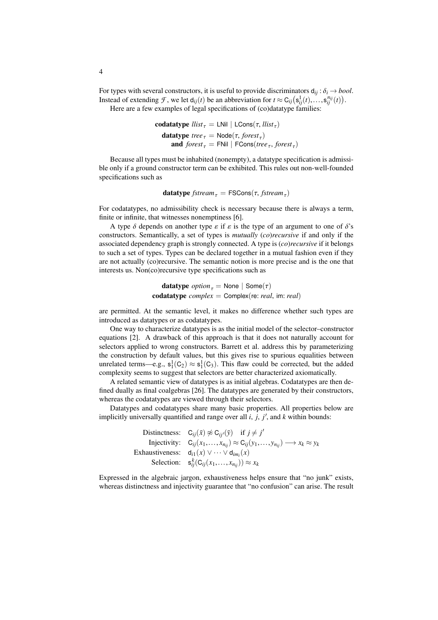For types with several constructors, it is useful to provide discriminators  $d_{ij}$ :  $\delta_i \rightarrow bool$ . Instead of extending *F*, we let  $d_{ij}(t)$  be an abbreviation for  $t \approx C_{ij}(s_{ij}^1(t),...,s_{ij}^{n_{ij}}(t))$ .<br>Here are a few examples of legal specifications of (co)datatype families: Here are a few examples of legal specifications of (co)datatype families:

> **codatatype**  $llist_\tau$  = LNil | LCons(τ,  $llist_\tau$ ) **datatype**  $tree_τ = Node(τ, forest_τ)$ <br>
> and  $forest_τ =ِ FNil | FCons($ *tre* **and**  $forest_{\tau}$  = FNil | FCons(*tree*<sub>τ</sub>, *forest*<sub>τ</sub>)

Because all types must be inhabited (nonempty), a datatype specification is admissible only if a ground constructor term can be exhibited. This rules out non-well-founded specifications such as

 $\textbf{datatype } fstream_{\tau} = \textsf{FSCons}(\tau, fstream_{\tau})$ 

For codatatypes, no admissibility check is necessary because there is always a term, finite or infinite, that witnesses nonemptiness [\[6\]](#page-17-1).

A type  $\delta$  depends on another type  $\varepsilon$  if  $\varepsilon$  is the type of an argument to one of  $\delta$ 's constructors. Semantically, a set of types is *mutually* (*co*)*recursive* if and only if the associated dependency graph is strongly connected. A type is (*co*)*recursive* if it belongs to such a set of types. Types can be declared together in a mutual fashion even if they are not actually (co)recursive. The semantic notion is more precise and is the one that interests us. Non(co)recursive type specifications such as

> **datatype**  $option_{\tau} = None | Some(\tau)$ codatatype *complex* <sup>=</sup> Complex(re: *real*, im: *real*)

are permitted. At the semantic level, it makes no difference whether such types are introduced as datatypes or as codatatypes.

One way to characterize datatypes is as the initial model of the selector–constructor equations [\[2\]](#page-17-0). A drawback of this approach is that it does not naturally account for selectors applied to wrong constructors. Barrett et al. address this by parameterizing the construction by default values, but this gives rise to spurious equalities between unrelated terms—e.g.,  $s_1^1(C_2) \approx s_1^1(C_3)$ . This flaw could be corrected, but the added complexity seems to suggest that selectors are better characterized axiomatically.

A related semantic view of datatypes is as initial algebras. Codatatypes are then defined dually as final coalgebras [\[26\]](#page-18-12). The datatypes are generated by their constructors, whereas the codatatypes are viewed through their selectors.

Datatypes and codatatypes share many basic properties. All properties below are implicitly universally quantified and range over all  $i$ ,  $j$ ,  $j'$ , and  $k$  within bounds:

> Distinctness:  $C_{ij}(\bar{x}) \not\approx C_{ij}(\bar{y})$  if  $j \neq j'$ Injectivity:  $C_{ij}(x_1,...,x_{n_{ij}}) \approx C_{ij}(y_1,...,y_{n_{ij}}) \longrightarrow x_k \approx y_k$ <br>Exhaustiveness:  $d_{i1}(x) \vee \cdots \vee d_{im_i}(x)$ Selection:  $\mathbf{s}_{ij}^k(C_{ij}(x_1,...,x_{n_{ij}})) \approx x_k$

Expressed in the algebraic jargon, exhaustiveness helps ensure that "no junk" exists, whereas distinctness and injectivity guarantee that "no confusion" can arise. The result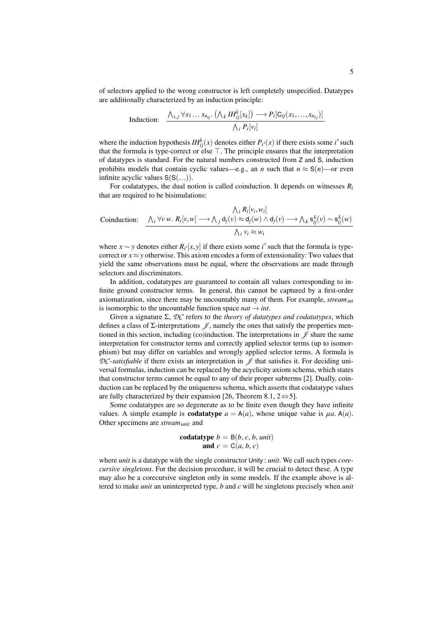of selectors applied to the wrong constructor is left completely unspecified. Datatypes are additionally characterized by an induction principle:

Induction: 
$$
\frac{\bigwedge_{i,j} \forall x_1 \dots x_{n_{ij}}.\left(\bigwedge_k IH_{ij}^k[x_k]\right) \longrightarrow P_i[\mathsf{C}_{ij}(x_1,\dots,x_{n_{ij}})]}{\bigwedge_i P_i[v_i]}
$$

where the induction hypothesis  $IH_{ij}^{k}(x)$  denotes either  $P_{i}(x)$  if there exists some *i*' such that the formula is type-correct or else  $\top$ . The principle ensures that the interpretation of datatypes is standard. For the natural numbers constructed from Z and S, induction prohibits models that contain cyclic values—e.g., an *n* such that  $n \approx S(n)$ —or even infinite acyclic values  $S(S(...))$ .

For codatatypes, the dual notion is called coinduction. It depends on witnesses  $R_i$ that are required to be bisimulations:

$$
\begin{array}{ll}\n\bigwedge_i R_i[v_i, w_i] \\
\text{Conduction:} & \xrightarrow{\bigwedge_i \forall v \ w. \ R_i[v, w] \longrightarrow \bigwedge_j d_j(v) \approx d_j(w) \land d_j(v) \longrightarrow \bigwedge_k s_{ij}^k(v) \sim s_{ij}^k(w)} \\
\bigwedge_i v_i \approx w_i\n\end{array}
$$

where  $x \sim y$  denotes either  $R_i/[x, y]$  if there exists some *i*<sup> $\prime$ </sup> such that the formula is type-correct or  $x \approx y$  otherwise. This axiom encodes a form of extensionality: Two values that correct or  $x \approx y$  otherwise. This axiom encodes a form of extensionality: Two values that yield the same observations must be equal, where the observations are made through selectors and discriminators.

In addition, codatatypes are guaranteed to contain all values corresponding to infinite ground constructor terms. In general, this cannot be captured by a first-order axiomatization, since there may be uncountably many of them. For example, *streamint* is isomorphic to the uncountable function space  $nat \rightarrow int$ .

Given a signature Σ, *DC* refers to the *theory of datatypes and codatatypes*, which defines a class of  $\Sigma$ -interpretations  $\mathscr{J}$ , namely the ones that satisfy the properties mentioned in this section, including (co)induction. The interpretations in  $\mathscr J$  share the same interpretation for constructor terms and correctly applied selector terms (up to isomorphism) but may differ on variables and wrongly applied selector terms. A formula is  $DC$ -*satisfiable* if there exists an interpretation in  $\mathscr I$  that satisfies it. For deciding universal formulas, induction can be replaced by the acyclicity axiom schema, which states that constructor terms cannot be equal to any of their proper subterms [\[2\]](#page-17-0). Dually, coinduction can be replaced by the uniqueness schema, which asserts that codatatype values are fully characterized by their expansion [\[26,](#page-18-12) Theorem 8.1,  $2 \Leftrightarrow 5$ ].

Some codatatypes are so degenerate as to be finite even though they have infinite values. A simple example is **codatatype**  $a = A(a)$ , whose unique value is  $\mu a$ . A(*a*). Other specimens are *streamunit* and

$$
\begin{aligned} \textbf{codattype} \ b &= \mathsf{B}(b, c, b, \textit{unit})\\ \textbf{and} \ c &= \mathsf{C}(a, b, c) \end{aligned}
$$

where *unit* is a datatype with the single constructor Unity : *unit*. We call such types *corecursive singletons*. For the decision procedure, it will be crucial to detect these. A type may also be a corecursive singleton only in some models. If the example above is altered to make *unit* an uninterpreted type, *b* and *c* will be singletons precisely when *unit*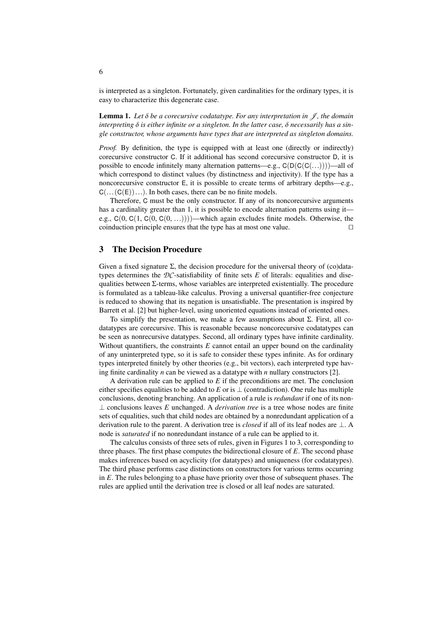is interpreted as a singleton. Fortunately, given cardinalities for the ordinary types, it is easy to characterize this degenerate case.

<span id="page-5-1"></span>**Lemma 1.** Let  $\delta$  be a corecursive codatatype. For any interpretation in  $\mathcal{J}$ , the domain *interpreting* δ *is either infinite or a singleton. In the latter case,* δ *necessarily has a single constructor, whose arguments have types that are interpreted as singleton domains.*

*Proof.* By definition, the type is equipped with at least one (directly or indirectly) corecursive constructor C. If it additional has second corecursive constructor D, it is possible to encode infinitely many alternation patterns—e.g.,  $C(D(C(C(...))))$ —all of which correspond to distinct values (by distinctness and injectivity). If the type has a noncorecursive constructor E, it is possible to create terms of arbitrary depths—e.g.,  $C(\ldots(C(E))\ldots)$ . In both cases, there can be no finite models.

Therefore, C must be the only constructor. If any of its noncorecursive arguments has a cardinality greater than 1, it is possible to encode alternation patterns using it e.g.,  $C(0, C(1, C(0, C(0, ...))))$ —which again excludes finite models. Otherwise, the coinduction principle ensures that the type has at most one value. coinduction principle ensures that the type has at most one value.

### <span id="page-5-0"></span>3 The Decision Procedure

Given a fixed signature  $\Sigma$ , the decision procedure for the universal theory of (co)datatypes determines the  $DC$ -satisfiability of finite sets  $E$  of literals: equalities and disequalities between  $\Sigma$ -terms, whose variables are interpreted existentially. The procedure is formulated as a tableau-like calculus. Proving a universal quantifier-free conjecture is reduced to showing that its negation is unsatisfiable. The presentation is inspired by Barrett et al. [\[2\]](#page-17-0) but higher-level, using unoriented equations instead of oriented ones.

To simplify the presentation, we make a few assumptions about Σ. First, all codatatypes are corecursive. This is reasonable because noncorecursive codatatypes can be seen as nonrecursive datatypes. Second, all ordinary types have infinite cardinality. Without quantifiers, the constraints *E* cannot entail an upper bound on the cardinality of any uninterpreted type, so it is safe to consider these types infinite. As for ordinary types interpreted finitely by other theories (e.g., bit vectors), each interpreted type having finite cardinality *n* can be viewed as a datatype with *n* nullary constructors [\[2\]](#page-17-0).

A derivation rule can be applied to *E* if the preconditions are met. The conclusion either specifies equalities to be added to *E* or is  $\perp$  (contradiction). One rule has multiple conclusions, denoting branching. An application of a rule is *redundant* if one of its non- ⊥ conclusions leaves *E* unchanged. A *derivation tree* is a tree whose nodes are finite sets of equalities, such that child nodes are obtained by a nonredundant application of a derivation rule to the parent. A derivation tree is *closed* if all of its leaf nodes are ⊥. A node is *saturated* if no nonredundant instance of a rule can be applied to it.

The calculus consists of three sets of rules, given in Figures [1](#page-7-0) to [3,](#page-7-1) corresponding to three phases. The first phase computes the bidirectional closure of *E*. The second phase makes inferences based on acyclicity (for datatypes) and uniqueness (for codatatypes). The third phase performs case distinctions on constructors for various terms occurring in *E*. The rules belonging to a phase have priority over those of subsequent phases. The rules are applied until the derivation tree is closed or all leaf nodes are saturated.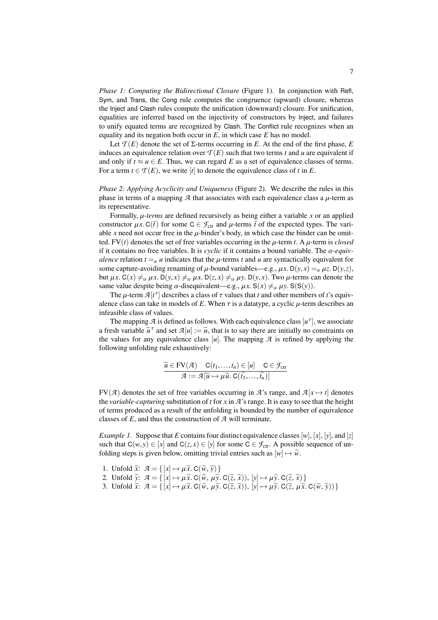*Phase 1: Computing the Bidirectional Closure* (Figure [1\)](#page-7-0). In conjunction with Refl, Sym, and Trans, the Cong rule computes the congruence (upward) closure, whereas the Inject and Clash rules compute the unification (downward) closure. For unification, equalities are inferred based on the injectivity of constructors by Inject, and failures to unify equated terms are recognized by Clash. The Conflict rule recognizes when an equality and its negation both occur in *E*, in which case *E* has no model.

Let  $\mathcal{T}(E)$  denote the set of  $\Sigma$ -terms occurring in *E*. At the end of the first phase, *E* induces an equivalence relation over  $T(E)$  such that two terms *t* and *u* are equivalent if and only if  $t \approx u \in E$ . Thus, we can regard E as a set of equivalence classes of terms. For a term  $t \in \mathcal{T}(E)$ , we write [*t*] to denote the equivalence class of *t* in *E*.

*Phase 2: Applying Acyclicity and Uniqueness* (Figure [2\)](#page-7-2). We describe the rules in this phase in terms of a mapping  $A$  that associates with each equivalence class a  $\mu$ -term as its representative.

Formally, µ-*terms* are defined recursively as being either a variable *<sup>x</sup>* or an applied constructor  $\mu x$ . C( $\bar{t}$ ) for some C  $\in \mathcal{F}_{ctr}$  and  $\mu$ -terms  $\bar{t}$  of the expected types. The variable x need not occur free in the  $\mu$ -binder's body, in which case the binder can be omitted.  $FV(t)$  denotes the set of free variables occurring in the  $\mu$ -term *t*. A  $\mu$ -term is *closed* if it contains no free variables. It is *cyclic* if it contains a bound variable. The  $\alpha$ -equiv*alence* relation  $t = \alpha u$  indicates that the  $\mu$ -terms t and  $u$  are syntactically equivalent for some capture-avoiding renaming of  $\mu$ -bound variables—e.g.,  $\mu x$ . D( $y$ , $x$ ) =  $\alpha \mu z$ . D( $y$ , $z$ ), but  $\mu x$ . C(*x*)  $\neq_{\alpha} \mu x$ . D(*y*, *x*)  $\neq_{\alpha} \mu x$ . D(*z*, *x*)  $\neq_{\alpha} \mu y$ . D(*y*, *x*). Two  $\mu$ -terms can denote the same value despite being  $\alpha$ -disequivalent—e.g.,  $\mu x$ . S( $x$ )  $\neq_{\alpha} \mu y$ . S(S(y)).

The  $\mu$ -term  $\mathcal{A}[t^{\tau}]$  describes a class of  $\tau$  values that *t* and other members of *t*'s equiv-<br>loce class can take in models of *F*. When  $\tau$  is a datatype, a cyclic *u*-term describes an alence class can take in models of  $E$ . When  $\tau$  is a datatype, a cyclic  $\mu$ -term describes an infeasible class of values.

The mapping  $\mathcal A$  is defined as follows. With each equivalence class  $[u^\tau]$ , we associate a fresh variable  $\tilde{u}^{\tau}$  and set  $\mathcal{A}[u] := \tilde{u}$ , that is to say there are initially no constraints on the values for any equivalence class [*u*]. The manning  $\mathcal{A}$  is refined by applying the the values for any equivalence class  $[u]$ . The mapping  $A$  is refined by applying the following unfolding rule exhaustively:

$$
\widetilde{u} \in \mathrm{FV}(\mathcal{A}) \quad \mathrm{C}(t_1, \ldots, t_n) \in [u] \quad \mathrm{C} \in \mathcal{F}_{\mathrm{ctr}} \\
 \mathcal{A} := \mathcal{A}[\widetilde{u} \mapsto \mu \widetilde{u}, \mathrm{C}(\widetilde{t_1}, \ldots, \widetilde{t_n})]
$$

FV( $\mathcal{A}$ ) denotes the set of free variables occurring in  $\mathcal{A}$ 's range, and  $\mathcal{A}[x \mapsto t]$  denotes the *variable-capturing* substitution of *t* for *x* in *A*'s range. It is easy to see that the height of terms produced as a result of the unfolding is bounded by the number of equivalence classes of *E*, and thus the construction of *A* will terminate.

*Example 1.* Suppose that *E* contains four distinct equivalence classes  $[w]$ ,  $[x]$ ,  $[y]$ , and  $[z]$ such that  $C(w, y) \in [x]$  and  $C(z, x) \in [y]$  for some  $C \in \mathcal{F}_{ctr}$ . A possible sequence of unfolding steps is given below, omitting trivial entries such as  $[w] \mapsto \widetilde{w}$ .

- 1. Unfold  $\widetilde{x}$ :  $\mathcal{A} = \{ [x] \mapsto \mu \widetilde{x}$ . C $(\widetilde{w}, \widetilde{y}) \}$
- 2. Unfold  $\widetilde{y}$ :  $\mathcal{A} = \{ [x] \mapsto \mu \widetilde{x}$ . C( $\widetilde{w}$ ,  $\mu \widetilde{y}$ . C( $\widetilde{z}$ ,  $\widetilde{x}$ )),  $[y] \mapsto \mu \widetilde{y}$ . C( $\widetilde{z}$ ,  $\widetilde{x}$ )}
- 3. Unfold  $\widetilde{x}$ :  $\mathcal{A} = \{ [x] \mapsto \mu \widetilde{x}$ . C( $\widetilde{w}$ ,  $\mu \widetilde{y}$ . C( $\widetilde{z}$ ,  $\widetilde{x}$ )),  $[y] \mapsto \mu \widetilde{y}$ . C( $\widetilde{z}$ ,  $\mu \widetilde{x}$ . C( $\widetilde{w}$ ,  $\widetilde{y}$ ))}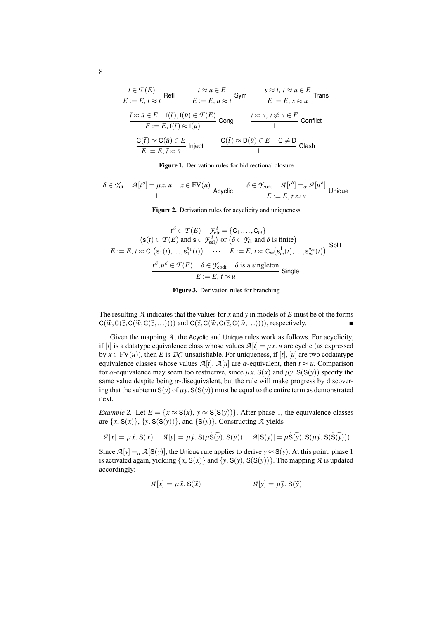$$
\frac{t \in \mathcal{T}(E)}{E := E, t \approx t} \text{ Refl} \qquad \frac{t \approx u \in E}{E := E, u \approx t} \text{ Sym } \qquad \frac{s \approx t, t \approx u \in E}{E := E, s \approx u} \text{ Trans}
$$
\n
$$
\frac{\bar{t} \approx \bar{u} \in E \quad \text{f}(\bar{t}), \text{f}(\bar{u}) \in \mathcal{T}(E)}{E := E, \text{f}(\bar{t}) \approx \text{f}(\bar{u})} \text{ Cong } \qquad \frac{t \approx u, t \not\approx u \in E}{\perp} \text{ Conflict}
$$
\n
$$
\frac{C(\bar{t}) \approx C(\bar{u}) \in E}{E := E, \bar{t} \approx \bar{u}} \text{ Inject} \qquad \frac{C(\bar{t}) \approx D(\bar{u}) \in E \quad C \neq D}{\perp} \text{ Class}
$$

<span id="page-7-0"></span>Figure 1. Derivation rules for bidirectional closure

$$
\frac{\delta \in \mathcal{Y}_{dt} \quad \mathcal{A}[t^{\delta}] = \mu x. \, u \quad x \in FV(u)}{\perp} \text{ Acyclic} \qquad \frac{\delta \in \mathcal{Y}_{\text{codt}} \quad \mathcal{A}[t^{\delta}] =_{\alpha} \mathcal{A}[u^{\delta}]}{E := E, \, t \approx u} \text{ Unique}
$$

<span id="page-7-2"></span>Figure 2. Derivation rules for acyclicity and uniqueness

$$
t^{\delta} \in \mathcal{T}(E) \quad \mathcal{F}_{\text{ct}}^{\delta} = \{C_1, \dots, C_m\}
$$
  
\n
$$
s(t) \in \mathcal{T}(E) \text{ and } s \in \mathcal{F}_{\text{set}}^{\delta} \text{ or } (\delta \in \mathcal{Y}_{\text{dt}} \text{ and } \delta \text{ is finite})
$$
  
\n
$$
E := E, t \approx C_1(s_1^1(t), \dots, s_1^{n_1}(t)) \quad \cdots \quad E := E, t \approx C_m(s_m^1(t), \dots, s_m^{n_m}(t))
$$
Split
$$
\frac{t^{\delta}, u^{\delta} \in \mathcal{T}(E) \quad \delta \in \mathcal{Y}_{\text{codt}} \quad \delta \text{ is a singleton}}{E := E, t \approx u} \text{ Single}
$$

<span id="page-7-1"></span>Figure 3. Derivation rules for branching

The resulting *A* indicates that the values for *x* and *y* in models of *E* must be of the forms  $C(\widetilde{w},C(\widetilde{z},C(\widetilde{w},C(\widetilde{z},...))))$  and  $C(\widetilde{z},C(\widetilde{w},C(\widetilde{z},C(\widetilde{w},...))))$ , respectively.

Given the mapping  $A$ , the Acyclic and Unique rules work as follows. For acyclicity, if  $[t]$  is a datatype equivalence class whose values  $\mathcal{A}[t] = \mu x$ . *u* are cyclic (as expressed by  $x \in FV(u)$ , then *E* is *DC*-unsatisfiable. For uniqueness, if [*t*], [*u*] are two codatatype equivalence classes whose values  $\mathcal{A}[t]$ ,  $\mathcal{A}[u]$  are  $\alpha$ -equivalent, then  $t \approx u$ . Comparison for  $\alpha$ -equivalence may seem too restrictive, since  $\mu x$ . S(*x*) and  $\mu y$ . S(S(*y*)) specify the same value despite being  $\alpha$ -disequivalent, but the rule will make progress by discovering that the subterm  $S(y)$  of  $\mu y$ .  $S(S(y))$  must be equal to the entire term as demonstrated next.

*Example 2.* Let  $E = \{x \approx S(x), y \approx S(S(y))\}$ . After phase 1, the equivalence classes are  $\{x, S(x)\}, \{y, S(S(y))\}, \text{ and } \{S(y)\}.$  Constructing  $\mathcal A$  yields

$$
\mathcal{A}[x] = \mu \widetilde{x}. \mathbf{S}(\widetilde{x}) \quad \mathcal{A}[y] = \mu \widetilde{y}. \mathbf{S}(\mu \widetilde{\mathbf{S}(y)}. \mathbf{S}(\widetilde{y})) \quad \mathcal{A}[\mathbf{S}(y)] = \mu \widetilde{\mathbf{S}(y)}. \mathbf{S}(\mu \widetilde{y}. \mathbf{S}(\widetilde{\mathbf{S}(y)}))
$$

Since  $\mathcal{A}[y] = \alpha \mathcal{A}[S(y)]$ , the Unique rule applies to derive  $y \approx S(y)$ . At this point, phase 1 is activated again, yielding  $\{x, S(x)\}\$  and  $\{y, S(y), S(S(y))\}\$ . The mapping *A* is updated accordingly:

$$
\mathcal{A}[x] = \mu \tilde{x}, \mathbf{S}(\tilde{x}) \qquad \qquad \mathcal{A}[y] = \mu \tilde{y}, \mathbf{S}(\tilde{y})
$$

8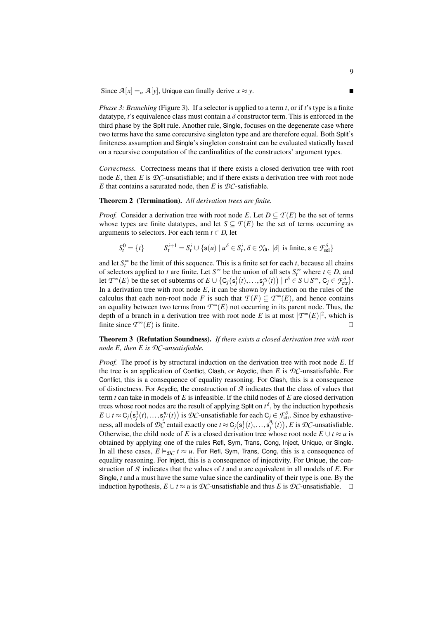Since  $\mathcal{A}[x] = \alpha \mathcal{A}[y]$ , Unique can finally derive  $x \approx y$ .

*Phase 3: Branching* (Figure [3\)](#page-7-1). If a selector is applied to a term *t*, or if *t*'s type is a finite datatype,  $t$ 's equivalence class must contain a  $\delta$  constructor term. This is enforced in the third phase by the Split rule. Another rule, Single, focuses on the degenerate case where two terms have the same corecursive singleton type and are therefore equal. Both Split's finiteness assumption and Single's singleton constraint can be evaluated statically based on a recursive computation of the cardinalities of the constructors' argument types.

*Correctness.* Correctness means that if there exists a closed derivation tree with root node  $E$ , then  $E$  is  $D\mathcal{C}$ -unsatisfiable; and if there exists a derivation tree with root node *E* that contains a saturated node, then *E* is  $DC$ -satisfiable.

#### <span id="page-8-0"></span>Theorem 2 (Termination). *All derivation trees are finite.*

*Proof.* Consider a derivation tree with root node *E*. Let  $D \subseteq T(E)$  be the set of terms whose types are finite datatypes, and let  $S \subseteq T(E)$  be the set of terms occurring as arguments to selectors. For each term  $t \in D$ , let

$$
S_t^0 = \{t\} \qquad S_t^{i+1} = S_t^i \cup \{s(u) \mid u^\delta \in S_t^i, \delta \in \mathfrak{I}_{\text{dt}}, |\delta| \text{ is finite, } s \in \mathcal{F}_{\text{sel}}^\delta\}
$$

and let  $S_t^{\infty}$  be the limit of this sequence. This is a finite set for each *t*, because all chains of selectors applied to *t* are finite. Let  $S^{\infty}$  be the union of all sets  $S_t^{\infty}$  where  $t \in D$ , and let  $T^{\infty}(E)$  be the set of subterms of  $E \cup \{C_j(s_j^1(t),...,s_j^{n_j}(t)) \mid t^{\delta} \in S \cup S^{\infty}, C_j \in \mathcal{F}_{\text{cr}}^{\delta}\}$ .<br>In a derivation tree with root node *F*, it can be shown by induction on the rules of the In a derivation tree with root node  $E$ , it can be shown by induction on the rules of the calculus that each non-root node *F* is such that  $\mathcal{T}(F) \subseteq \mathcal{T}^{\infty}(E)$ , and hence contains an equality between two terms from  $T^{\infty}(E)$  not occurring in its parent node. Thus, the depth of a branch in a derivation tree with root node *E* is at most  $|{\mathcal T}^\infty(E)|^2$ , which is finite since  $T^{\infty}(E)$  is finite.

<span id="page-8-1"></span>Theorem 3 (Refutation Soundness). *If there exists a closed derivation tree with root node E, then E is DC-unsatisfiable.*

*Proof.* The proof is by structural induction on the derivation tree with root node *E*. If the tree is an application of Conflict, Clash, or Acyclic, then *E* is *DC*-unsatisfiable. For Conflict, this is a consequence of equality reasoning. For Clash, this is a consequence of distinctness. For Acyclic, the construction of *A* indicates that the class of values that term *t* can take in models of *E* is infeasible. If the child nodes of *E* are closed derivation trees whose root nodes are the result of applying Split on  $t^{\delta}$ , by the induction hypothesis *E* ∪ *t* ≈ C<sub>*j*</sub>( $\mathbf{s}$ <sup>*j*</sup>),...,  $\mathbf{s}^{n_j}(t)$  is *DC*-unsatisfiable for each C<sub>*j*</sub> ∈  $\mathcal{F}_{\text{ctr}}^{\delta}$ . Since by exhaustive-<br>ness all models of *DC* antail avestly and t ∞ C ( $\mathbf{s}^{1}(t)$ ) and *E* is *DC* unsatis ness, all models of *DC* entail exactly one  $t \approx C_j(s_j^1(t),...,s_j^{n_j}(t)), E$  is *DC*-unsatisfiable. Otherwise, the child node of *E* is a closed derivation tree whose root node  $E \cup t \approx u$  is obtained by applying one of the rules Refl, Sym, Trans, Cong, Inject, Unique, or Single. In all these cases,  $E \vDash_{\mathcal{DC}} t \approx u$ . For Refl, Sym, Trans, Cong, this is a consequence of equality reasoning. For Inject, this is a consequence of injectivity. For Unique, the construction of *A* indicates that the values of *t* and *u* are equivalent in all models of *E*. For Single, *t* and *u* must have the same value since the cardinality of their type is one. By the induction hypothesis,  $E \cup t \approx u$  is  $D$ *C*-unsatisfiable and thus *E* is  $D$ *C*-unsatisfiable. □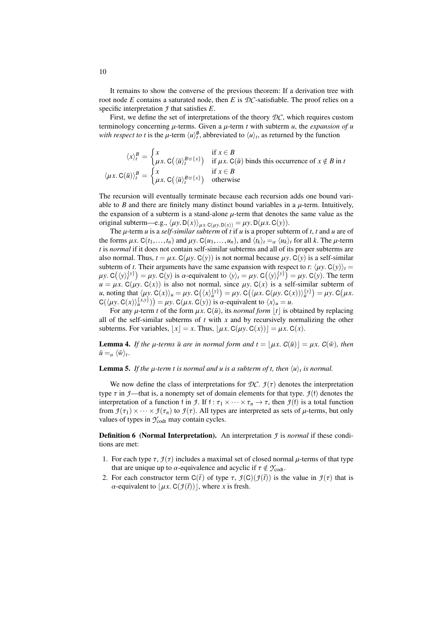It remains to show the converse of the previous theorem: If a derivation tree with root node *E* contains a saturated node, then *E* is *DC*-satisfiable. The proof relies on a specific interpretation *J* that satisfies *E*.

First, we define the set of interpretations of the theory *DC*, which requires custom terminology concerning  $\mu$ -terms. Given a  $\mu$ -term  $t$  with subterm  $\mu$ , the *expansion of*  $\mu$ *with respect to t* is the  $\mu$ -term  $\langle u \rangle_t^{\emptyset}$ , abbreviated to  $\langle u \rangle_t$ , as returned by the function

$$
\langle x \rangle_t^B = \begin{cases} x & \text{if } x \in B \\ \mu x. \ C(\langle \bar{u} \rangle_t^{B \cup \{x\}}) & \text{if } \mu x. \ C(\bar{u}) \text{ binds this occurrence of } x \notin B \text{ in } t \\ \mu x. \ C(\bar{u}) \rangle_t^B = \begin{cases} x & \text{if } x \in B \\ \mu x. \ C(\langle \bar{u} \rangle_t^{B \cup \{x\}}) & \text{otherwise} \end{cases}
$$

The recursion will eventually terminate because each recursion adds one bound variable to  $B$  and there are finitely many distinct bound variables in a  $\mu$ -term. Intuitively, the expansion of a subterm is a stand-alone  $\mu$ -term that denotes the same value as the original subterm—e.g.,  $\langle \mu y. D(x) \rangle_{\mu x. C(\mu y. D(x))} = \mu y. D(\mu x. C(y)).$ 

The µ-term *<sup>u</sup>* is a *self-similar subterm* of *<sup>t</sup>* if *<sup>u</sup>* is a proper subterm of *<sup>t</sup>*, *<sup>t</sup>* and *<sup>u</sup>* are of the forms  $\mu x$ . C( $t_1, \ldots, t_n$ ) and  $\mu y$ . C( $u_1, \ldots, u_n$ ), and  $\langle t_k \rangle_t = \alpha \langle u_k \rangle_t$  for all *k*. The  $\mu$ -term *t* is *normal* if it does not contain self-similar subterms and all of its proper subterms are also normal. Thus,  $t = \mu x$ . C( $\mu y$ , C( $y$ )) is not normal because  $\mu y$ . C( $y$ ) is a self-similar subterm of *t*. Their arguments have the same expansion with respect to *t*:  $\langle \mu y, C(y) \rangle_t =$  $\mu y$ . C( $y$ )<sup>{*y*}</sup> $) = \mu y$ . C(*y*) is  $\alpha$ -equivalent to  $\langle y \rangle_t = \mu y$ . C( $\langle y \rangle_t^{\{y\}} = \mu y$ . C( $y$ ). The term  $\mu = \mu y$ . C( $y$ ) is also not normal since  $\mu y$ . C( $x$ ) is a self-similar subterm of  $u = \mu x$ . C( $\mu y$ . C(x)) is also not normal, since  $\mu y$ . C(x) is a self-similar subterm of *u*, noting that  $\langle \mu y, C(x) \rangle_u = \mu y, C(\langle x \rangle_u^{\{y\}}) = \mu y, C(\langle \mu x, C(\mu y, C(x)) \rangle_u^{\{y\}}) = \mu y, C(\mu x, C(u))$ <br>C(*luv*, C(x)\{*xy*})) –  $\mu y, C(\mu x, C(v))$  is  $\alpha$ -equivalent to  $\langle x \rangle - \mu$  $C(\langle \mu y, C(x) \rangle_{\mu}^{\{x, y\}}) = \mu y$ .  $C(\mu x, C(y))$  is *a*-equivalent to  $\langle x \rangle_{\mu} = u$ .<br>For any *u*-term t of the form  $\mu x, C(\bar{\mu})$  its normal form |t| is *c* 

For any  $\mu$ -term *t* of the form  $\mu x$ . C( $\bar{u}$ ), its *normal form* |*t*| is obtained by replacing all of the self-similar subterms of *t* with *x* and by recursively normalizing the other subterms. For variables,  $|x| = x$ . Thus,  $|\mu x$ . C( $\mu y$ . C(x))c =  $\mu x$ . C(x).

<span id="page-9-0"></span>**Lemma 4.** If the  $\mu$ -terms  $\bar{u}$  are in normal form and  $t = |\mu x|$ .  $C(\bar{u})| = \mu x$ .  $C(\bar{w})$ , then  $\bar{u} =_{\alpha} \langle \bar{w} \rangle_t$ .

**Lemma 5.** If the  $\mu$ -term t is normal and  $u$  is a subterm of t, then  $\langle u \rangle_t$  is normal.

We now define the class of interpretations for  $\mathcal{D}\mathcal{C}$ .  $\mathcal{I}(\tau)$  denotes the interpretation type  $\tau$  in *J*—that is, a nonempty set of domain elements for that type. *J*(f) denotes the interpretation of a function f in *J*. If f :  $\tau_1 \times \cdots \times \tau_n \to \tau$ , then *J*(f) is a total function from  $\mathcal{I}(\tau_1)\times\cdots\times\mathcal{I}(\tau_n)$  to  $\mathcal{I}(\tau)$ . All types are interpreted as sets of  $\mu$ -terms, but only values of types in  $\mathcal{Y}_{\text{codt}}$  may contain cycles.

Definition 6 (Normal Interpretation). An interpretation *J* is *normal* if these conditions are met:

- 1. For each type  $\tau$ ,  $\mathcal{I}(\tau)$  includes a maximal set of closed normal  $\mu$ -terms of that type that are unique up to  $\alpha$ -equivalence and acyclic if  $\tau \notin \mathcal{Y}_{\text{codt}}$ .
- 2. For each constructor term  $C(\bar{t})$  of type  $\tau$ ,  $\mathcal{I}(C)(\mathcal{I}(\bar{t}))$  is the value in  $\mathcal{I}(\tau)$  that is  $\alpha$ -equivalent to  $\lfloor \mu x \cdot C(f(\vec{t})) \rfloor$ , where *x* is fresh.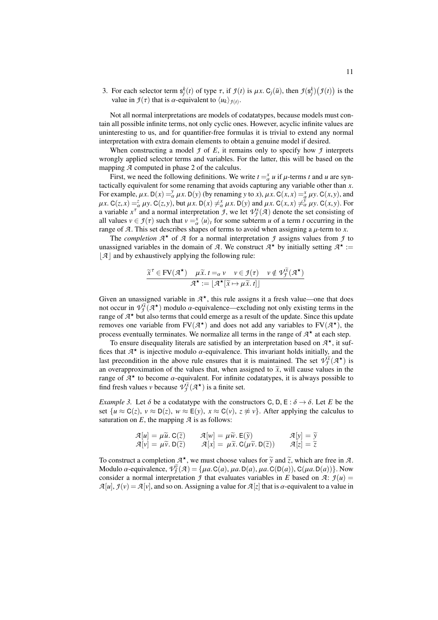3. For each selector term  $s_j^k(t)$  of type  $\tau$ , if  $\mathcal{I}(t)$  is  $\mu x$ . C<sub>j</sub>( $\bar{u}$ ), then  $\mathcal{I}(s_j^k)(\mathcal{I}(t))$  is the value in  $\mathcal{I}(\tau)$  that is  $\alpha$ -equivalent to  $\langle u_k \rangle_{\alpha}$ . value in  $\mathcal{I}(\tau)$  that is  $\alpha$ -equivalent to  $\langle u_k \rangle_{\mathcal{I}(t)}$ .

Not all normal interpretations are models of codatatypes, because models must contain all possible infinite terms, not only cyclic ones. However, acyclic infinite values are uninteresting to us, and for quantifier-free formulas it is trivial to extend any normal interpretation with extra domain elements to obtain a genuine model if desired.

When constructing a model *J* of *E*, it remains only to specify how *J* interprets wrongly applied selector terms and variables. For the latter, this will be based on the mapping *A* computed in phase 2 of the calculus.

First, we need the following definitions. We write  $t = x/d$  *u* if  $\mu$ -terms *t* and *u* are syn-<br>ically equivalent for some renaming that avoids canturing any variable other than *x* tactically equivalent for some renaming that avoids capturing any variable other than *x*. For example,  $\mu x$ . D(*x*) =  $\frac{\partial}{\partial x} \mu x$ . D(*y*) (by renaming *y* to *x*),  $\mu x$ . C(*x*, *x*) =  $\frac{\partial}{\partial y} \mu y$ . C(*x*, *y*), and  $\mu x$  C(*z x*) =  $\frac{\partial}{\partial y} \mu y$ . C(*z y*) =  $\frac{\partial}{\partial y} \mu y$ . C(*x y*) =  $\frac{\partial}{\partial y} \mu$  $\mu x. C(z, x) = \frac{z}{\alpha} \mu y. C(z, y)$ , but  $\mu x. D(x) \neq_{\alpha}^x \mu x. D(y)$  and  $\mu x. C(x, x) \neq_{\alpha}^x \mu y. C(x, y)$ . For a variable  $x^{\tau}$  and a normal interpretation *J*, we let  $\mathcal{V}^{\chi}_{\mathcal{J}}(\mathcal{A})$  denote the set consisting of all values  $v \in \mathcal{I}(\tau)$  such that  $v = \frac{x}{\mu} \langle u \rangle_t$  for some subterm *u* of a term *t* occurring in the range of  $\mathcal{I}$ . This set describes shapes of terms to avoid when assigning a *u*-term to *x* range of *A*. This set describes shapes of terms to avoid when assigning a  $\mu$ -term to *x*.<br>The completion  $\mathcal{A}^*$  of  $\mathcal{A}$  for a normal interpretation  $\mathcal{A}$  assigns values from  $\mathcal{A}$ 

The *completion*  $A^*$  of  $A$  for a normal interpretation  $f$  assigns values from  $f$  to unassigned variables in the domain of *A*. We construct  $A^*$  by initially setting  $A^*$  :=  $|\mathcal{A}|$  and by exhaustively applying the following rule:

$$
\frac{\widetilde{x}^{\tau} \in \text{FV}(\mathcal{A}^{\star}) \quad \mu \widetilde{x}. \, t =_{\alpha} v \quad v \in \mathcal{I}(\tau) \quad v \notin \mathcal{V}_{\widetilde{\mathcal{I}}}^{\widetilde{x}}(\mathcal{A}^{\star})}{\mathcal{A}^{\star} := \lfloor \mathcal{A}^{\star}[\widetilde{x} \mapsto \mu \widetilde{x}. \, t] \rfloor}
$$

Given an unassigned variable in  $A^*$ , this rule assigns it a fresh value—one that does not occur in  $V_j^{\tilde{\chi}}(\mathcal{A}^{\star})$  modulo  $\alpha$ -equivalence—excluding not only existing terms in the range of  $\mathcal{A}^{\star}$  but also terms that could emerge as a result of the undate. Since this undate range of  $A^{\star}$  but also terms that could emerge as a result of the update. Since this update removes one variable from  $FV(\mathcal{A}^{\star})$  and does not add any variables to  $FV(\mathcal{A}^{\star})$ , the process eventually terminates. We normalize all terms in the range of  $A^*$  at each step.

To ensure disequality literals are satisfied by an interpretation based on  $A^{\star}$ , it suffices that  $A^*$  is injective modulo  $\alpha$ -equivalence. This invariant holds initially, and the last recondition in the above rule ensures that it is maintained. The set  $\mathcal{D}(\mathcal{X})$  is last precondition in the above rule ensures that it is maintained. The set  $\mathcal{V}^{\tilde{X}}_{\tilde{J}}(\mathcal{A}^{\star})$  is an overapproximation of the values that, when assigned to  $\tilde{x}$ , will cause values in the range of  $\mathcal{A}^*$  to become  $\alpha$ -equivalent. For infinite codatatypes, it is always possible to find fresh values y because  $\mathcal{D}^{\tilde{X}}(\mathcal{A}^*)$  is a finite set find fresh values *v* because  $\mathcal{V}^{\tilde{X}}_{\tilde{\mathcal{I}}}(\mathcal{A}^{\star})$  is a finite set.

*Example 3.* Let  $\delta$  be a codatatype with the constructors C, D, E :  $\delta \rightarrow \delta$ . Let *E* be the set  $\{u \approx C(z), v \approx D(z), w \approx E(y), x \approx C(v), z \not\approx v\}$ . After applying the calculus to saturation on  $E$ , the mapping  $\mathcal A$  is as follows:

$$
\mathcal{A}[u] = \mu \widetilde{u}. \mathbf{C}(\widetilde{z}) \qquad \mathcal{A}[w] = \mu \widetilde{w}. \mathbf{E}(\widetilde{y}) \qquad \mathcal{A}[y] = \widetilde{y} \n\mathcal{A}[v] = \mu \widetilde{v}. \mathbf{D}(\widetilde{z}) \qquad \mathcal{A}[x] = \mu \widetilde{x}. \mathbf{C}(\mu \widetilde{v}. \mathbf{D}(\widetilde{z})) \qquad \mathcal{A}[z] = \widetilde{z}
$$

To construct a completion  $A^*$ , we must choose values for  $\tilde{y}$  and  $\tilde{z}$ , which are free in *A*.<br>Modulo  $\alpha$  equivalence  $q\tilde{z}(q) - \mu q \Gamma(q) \mu q \Gamma(p) \Gamma(q) \Gamma(q) \Gamma(q) \Gamma(q) \Gamma(q)$ Modulo  $\alpha$ -equivalence,  $\hat{V}_{\alpha}^{\tilde{z}}(A) = \{\mu a. C(a), \mu a. D(a), \mu a. C(D(a)), C(\mu a. D(a))\}$ . Now consider a normal interpretation 4 that evaluates variables in *F* hased on 4:  $q(u)$ consider a normal interpretation *J* that evaluates variables in *E* based on *A*:  $\mathcal{I}(u)$  =  $A[u], f(v) = A[v]$ , and so on. Assigning a value for  $A[z]$  that is  $\alpha$ -equivalent to a value in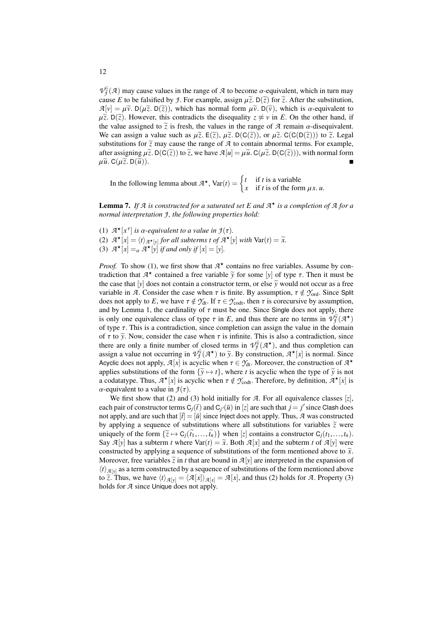$V^{\tilde{g}}_{\tilde{g}}(A)$  may cause values in the range of *A* to become  $\alpha$ -equivalent, which in turn may cause *F* to be falsified by *I*. For example, assign  $\tilde{u}$ ,  $\tilde{v}$ ,  $\tilde{v}$  and  $\tilde{g}$ , after the substitutio cause *E* to be falsified by *J*. For example, assign  $\mu \tilde{z}$ . D( $\tilde{z}$ ) for  $\tilde{z}$ . After the substitution,  $\mathcal{A}[v] = \mu \tilde{v}$ . D( $\mu \tilde{z}$ . D( $\tilde{z}$ )), which has normal form  $\mu \tilde{v}$ . D( $\tilde{v}$ ), which is  $\alpha$ -equivalent to  $\mu \tilde{z}$ . D( $\tilde{z}$ ). However, this contradicts the disequality  $z \approx v$  in *E*. On the other hand, if the value assigned to  $\tilde{z}$  is fresh, the values in the range of *A* remain  $\alpha$ -disequivalent. We can assign a value such as  $\mu \tilde{z}$ .  $E(\tilde{z})$ ,  $\mu \tilde{z}$ .  $D(C(\tilde{z}))$ , or  $\mu \tilde{z}$ .  $C(C(D(\tilde{z})))$  to  $\tilde{z}$ . Legal substitutions for  $\tilde{z}$  may cause the range of  $A$  to contain abnormal terms. For example, after assigning  $\mu \tilde{z}$ . D(C( $\tilde{z}$ )) to  $\tilde{z}$ , we have  $\mathcal{A}[u] = \mu \tilde{u}$ . C( $\mu \tilde{z}$ . D(C( $\tilde{z}$ ))), with normal form  $\mu \tilde{u}$ . C( $\mu \tilde{z}$ . D( $\tilde{u}$ )).

In the following lemma about  $A^*$ ,  $Var(t) = \begin{cases} t & \text{if } t \text{ is a variable} \\ x & \text{if } t \text{ is of the for} \end{cases}$ *x* if *t* is of the form  $\mu x$ . *u*.

<span id="page-11-0"></span>Lemma 7. *If A is constructed for a saturated set E and A* ? *is a completion of A for a normal interpretation J , the following properties hold:*

- (1)  $\mathcal{A}^{\star}[x^{\tau}]$  *is a-equivalent to a value in*  $\mathcal{I}(\tau)$ .<br>(2)  $\mathcal{A}^{\star}[x] = \langle t \rangle$  is for all subterms t of  $\mathcal{A}^{\star}[x]$ .
- (2)  $A^{\star}[x] = \langle t \rangle_{A^{\star}[y]}$  for all subterms *t* of  $A^{\star}[y]$  with  $\text{Var}(t) = \tilde{x}$ .<br>(3)  $A^{\star}[x] = A^{\star}[y]$  if and only if  $[x] = [y]$ .
- (3)  $\mathcal{A}^{\star}[x] =_{\alpha} \mathcal{A}^{\star}[y]$  *if and only if*  $[x] = [y]$ *.*

*Proof.* To show (1), we first show that  $A^*$  contains no free variables. Assume by contradiction that *A*<sup>\*</sup> contained a free variable  $\tilde{y}$  for some [*y*] of type τ. Then it must be<br>the case that [*y*] does not contain a constructor term, or else  $\tilde{y}$  would not occur as a free the case that  $[y]$  does not contain a constructor term, or else  $\tilde{y}$  would not occur as a free variable in *A*. Consider the case when  $\tau$  is finite. By assumption,  $\tau \notin \mathcal{Y}_{\text{ord}}$ . Since Split does not apply to *E*, we have  $\tau \notin \mathcal{Y}_{dt}$ . If  $\tau \in \mathcal{Y}_{\text{codt}}$ , then  $\tau$  is corecursive by assumption, and by Lemma [1,](#page-5-1) the cardinality of  $\tau$  must be one. Since Single does not apply, there is only one equivalence class of type  $\tau$  in *E*, and thus there are no terms in  $V_j^{\gamma}(\mathcal{A}^{\star})$  of type  $\tau$ . This is a contradiction since completion can assign the value in the domain of type  $\tau$ . This is a contradiction, since completion can assign the value in the domain of  $\tau$  to  $\tilde{v}$ . Now, consider the case when  $\tau$  is infinite. This is also a contradiction, since there are only a finite number of closed terms in  $\mathcal{V}^{\tilde{y}}_{\tilde{\mathcal{I}}}(\mathcal{A}^{\star})$ , and thus completion can assign a value not occurring in  $\hat{V}(\mathcal{A}^{\star})$  to  $\tilde{y}$ . By construction,  $\mathcal{A}^{\star}[x]$  is normal. Since Acyclic does not apply,  $\mathcal{A}[x]$  is acyclic when  $\tau \in \mathcal{Y}_{dt}$ . Moreover, the construction of  $\mathcal{A}^*$ <br>applies substitutions of the form  $\mathcal{I}^{\infty}_{t} \mapsto t^1$ , where *t* is acyclic when the type of  $\tilde{y}$  is not applies substitutions of the form  $\{\tilde{y} \mapsto t\}$ , where *t* is acyclic when the type of  $\tilde{y}$  is not a codatatype. Thus,  $A^{\star}[x]$  is acyclic when  $\tau \notin \mathcal{Y}_{\text{codt}}$ . Therefore, by definition,  $A^{\star}[x]$  is  $\alpha$ -equivalent to a value in  $I(\tau)$ .  $\alpha$ -equivalent to a value in  $\mathcal{I}(\tau)$ .

We first show that (2) and (3) hold initially for  $A$ . For all equivalence classes [*z*], each pair of constructor terms  $C_j(\bar{t})$  and  $C_{j'}(\bar{u})$  in [*z*] are such that  $j = j'$  since Clash does not apply, and are such that  $[\bar{t}] = [\bar{u}]$  since Inject does not apply. Thus,  $\bar{A}$  was constructed by applying a sequence of substitutions where all substitutions for variables  $\tilde{z}$  were uniquely of the form  $\{\widetilde{z} \mapsto C_j(\widetilde{t}_1,\ldots,\widetilde{t}_n)\}$  when  $[z]$  contains a constructor  $C_j(t_1,\ldots,t_n)$ . Say  $\mathcal{A}[y]$  has a subterm *t* where  $\text{Var}(t) = \tilde{x}$ . Both  $\mathcal{A}[x]$  and the subterm *t* of  $\mathcal{A}[y]$  were constructed by applying a sequence of substitutions of the form mentioned above to  $\tilde{x}$ . Moreover, free variables  $\tilde{z}$  in *t* that are bound in  $\mathcal{A}[y]$  are interpreted in the expansion of  $\langle t \rangle_{\mathcal{A}[y]}$  as a term constructed by a sequence of substitutions of the form mentioned above to  $\tilde{z}$ . Thus, we have  $\langle t \rangle_{\mathcal{A}[y]} = \langle \mathcal{A}[x] \rangle_{\mathcal{A}[x]} = \mathcal{A}[x]$ , and thus (2) holds for  $\mathcal{A}$ . Property (3) holds for *A* since Unique does not apply.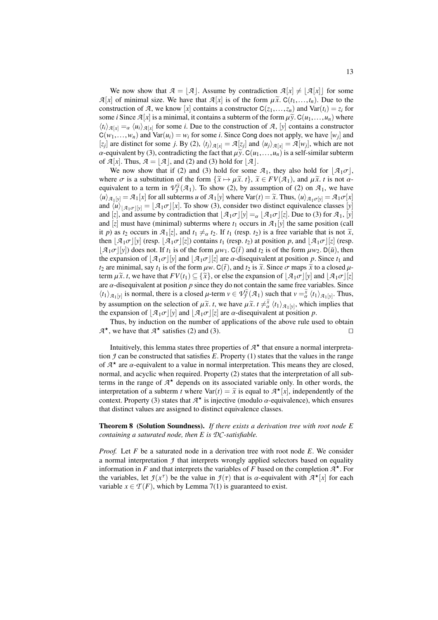We now show that  $A = |A|$ . Assume by contradiction  $A[x] \neq |A[x]|$  for some  $\mathcal{A}[x]$  of minimal size. We have that  $\mathcal{A}[x]$  is of the form  $\mu \tilde{x}$ .  $C(t_1,...,t_n)$ . Due to the construction of *A*, we know [*x*] contains a constructor  $C(z_1,...,z_n)$  and  $Var(t_i) = z_i$  for some *i* Since  $\mathcal{A}[x]$  is a minimal, it contains a subterm of the form  $\mu \tilde{y}$ .  $C(u_1,...,u_n)$  where  $\langle t_i \rangle_{\mathcal{A}[x]} =_{\alpha} \langle u_i \rangle_{\mathcal{A}[x]}$  for some *i*. Due to the construction of *A*, [*y*] contains a constructor  $C(w_1,...,w_n)$  and  $Var(u_i) = w_i$  for some *i*. Since Cong does not apply, we have [*w<sub>j</sub>*] and  $z_i$  are distinct for some *i*, By (2)  $\langle t_1 \rangle_{\sigma(i)} = \mathcal{A}[x_i]$  and  $\langle u_i \rangle_{\sigma(i)} = \mathcal{A}[w_i]$ , which are not [*z<sub>j</sub>*] are distinct for some *j*. By (2),  $\langle t_j \rangle_{\mathcal{A}[x]} = \mathcal{A}[z_j]$  and  $\langle u_j \rangle_{\mathcal{A}[x]} = \mathcal{A}[w_j]$ , which are not  $\alpha$ -equivalent by (3), contradicting the fact that  $\mu \tilde{y}$ . C( $u_1, \ldots, u_n$ ) is a self-similar subterm of  $\mathcal{A}[x]$ . Thus,  $\mathcal{A} = [\mathcal{A}]$ , and (2) and (3) hold for  $[\mathcal{A}]$ .

We now show that if (2) and (3) hold for some  $\mathcal{A}_1$ , they also hold for  $|\mathcal{A}_1\sigma|$ , where  $\sigma$  is a substitution of the form  $\{\tilde{x} \mapsto \mu \tilde{x}, t\}$ ,  $\tilde{x} \in FV(\mathcal{A}_1)$ , and  $\mu \tilde{x}$ , t is not  $\alpha$ equivalent to a term in  $\mathcal{V}^{\tilde{x}}_{\tilde{\mathcal{I}}}(\mathcal{A}_1)$ . To show (2), by assumption of (2) on  $\mathcal{A}_1$ , we have  $\langle u \rangle_{\mathcal{A}_1[y]} = \mathcal{A}_1[x]$  for all subterms *u* of  $\mathcal{A}_1[y]$  where  $\text{Var}(t) = \tilde{x}$ . Thus,  $\langle u \rangle_{\mathcal{A}_1[\sigma[y]} = \mathcal{A}_1[\sigma[x]]$ and  $\langle u \rangle_{\mathcal{A}_1\sigma|[y]} = [\mathcal{A}_1\sigma][x]$ . To show (3), consider two distinct equivalence classes [*y*] and [*z*], and assume by contradiction that  $\frac{A_1\sigma}{y} = \alpha \frac{A_1\sigma}{z}$ . Due to (3) for  $A_1$ , [*y*] and  $[z]$  must have (minimal) subterms where  $t_1$  occurs in  $\mathcal{A}_1[y]$  the same position (call it *p*) as  $t_2$  occurs in  $\mathcal{A}_1[z]$ , and  $t_1 \neq a \, t_2$ . If  $t_1$  (resp.  $t_2$ ) is a free variable that is not  $\tilde{x}$ , then  $\mathcal{A}_1\sigma$  [*y*] (resp.  $\mathcal{A}_1\sigma$  [*z*]) contains  $t_1$  (resp.  $t_2$ ) at position *p*, and  $\mathcal{A}_1\sigma$  [*z*] (resp.  $\mathcal{A}_1\sigma$ [*y*]) does not. If *t*<sub>1</sub> is of the form  $\mu w_1$ . C(*t*) and *t*<sub>2</sub> is of the form  $\mu w_2$ . D(*u*), then the expansion of  $\mathcal{A}_1\sigma$  [*y*] and  $\mathcal{A}_1\sigma$  [*z*] are  $\alpha$ -disequivalent at position *p*. Since  $t_1$  and *t*<sub>2</sub> are minimal, say *t*<sub>1</sub> is of the form  $\mu w$ . C( $\bar{t}$ ), and *t*<sub>2</sub> is  $\tilde{x}$ . Since  $\sigma$  maps  $\tilde{x}$  to a closed  $\mu$ term  $\mu \tilde{x}$ . *t*, we have that  $FV(t_1) \subseteq {\tilde{x}}$ , or else the expansion of  $[A_1\sigma][y]$  and  $[A_1\sigma][z]$ are  $\alpha$ -disequivalent at position  $p$  since they do not contain the same free variables. Since  $\langle t_1 \rangle_{\mathcal{A}_1[y]}$  is normal, there is a closed  $\mu$ -term  $\nu \in \mathcal{V}^{\tilde{\chi}}_{\mathcal{I}}(\mathcal{A}_1)$  such that  $\nu = \tilde{\alpha} \langle t_1 \rangle_{\mathcal{A}_1[y]}$ . Thus, by assumption on the selection of  $\mu \tilde{x}$ . *t*, we have  $\mu \tilde{x}$ .  $t \neq \tilde{x}$   $\langle t_1 \rangle_{\mathcal{A}_1[y]}$ , which implies that the expansion of  $\left[\mathcal{A}_1\sigma\right][y]$  and  $\left[\mathcal{A}_1\sigma\right][z]$  are  $\alpha$ -disequivalent at position *p*.<br>Thus, by induction on the number of applications of the above rule us

Thus, by induction on the number of applications of the above rule used to obtain  $A^*$ , we have that  $A^*$  satisfies (2) and (3).

Intuitively, this lemma states three properties of  $A^*$  that ensure a normal interpretation  $\mathcal I$  can be constructed that satisfies  $E$ . Property (1) states that the values in the range of  $A^*$  are  $\alpha$ -equivalent to a value in normal interpretation. This means they are closed, normal and acyclic when required. Property (2) states that the interpretation of all subnormal, and acyclic when required. Property (2) states that the interpretation of all subterms in the range of  $A^*$  depends on its associated variable only. In other words, the interpretation of a subterm *t* where  $\text{Var}(t) = \tilde{x}$  is equal to  $\mathcal{A}^{\star}[x]$ , independently of the context. Property (3) states that  $\mathcal{A}^{\star}$  is injective (modulo  $\alpha$  equivalence), which ensures context. Property (3) states that  $A^*$  is injective (modulo  $\alpha$ -equivalence), which ensures that distinct values are assigned to distinct equivalence classes that distinct values are assigned to distinct equivalence classes.

<span id="page-12-0"></span>Theorem 8 (Solution Soundness). *If there exists a derivation tree with root node E containing a saturated node, then E is DC-satisfiable.*

*Proof.* Let *F* be a saturated node in a derivation tree with root node *E*. We consider a normal interpretation *J* that interprets wrongly applied selectors based on equality information in *F* and that interprets the variables of *F* based on the completion  $A^*$ . For the variables, let  $\mathcal{I}(x^{\tau})$  be the value in  $\mathcal{I}(\tau)$  that is  $\alpha$ -equivalent with  $\mathcal{A}^{\star}[x]$  for each variable  $x \in \mathcal{T}(F)$  which by Lemma  $\mathcal{I}(1)$  is quaranteed to exist variable  $x \in \mathcal{T}(F)$ , which by Lemma [7\(](#page-11-0)1) is guaranteed to exist.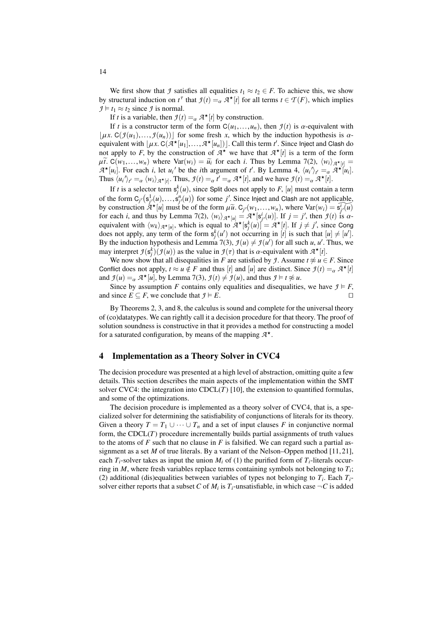We first show that *J* satisfies all equalities  $t_1 \approx t_2 \in F$ . To achieve this, we show by structural induction on  $t^{\tau}$  that  $\mathcal{I}(t) =_{\alpha} \mathcal{A}^{\star}[t]$  for all terms  $t \in \mathcal{T}(F)$ , which implies  $\mathcal{I} \models t \sim \tau$  since  $\mathcal{I}$  is normal  $\mathcal{I} \models t_1 \approx t_2$  since  $\mathcal{I}$  is normal.

If *t* is a variable, then  $f(t) = \alpha A^*[t]$  by construction.

If *t* is a constructor term of the form  $C(u_1,...,u_n)$ , then  $\mathcal{I}(t)$  is  $\alpha$ -equivalent with  $|\mu x$ . C( $\mathcal{I}(u_1),..., \mathcal{I}(u_n)|$ ) for some fresh *x*, which by the induction hypothesis is  $\alpha$ equivalent with  $[\mu x]$ . C( $\overline{A}^*[\mu_1],...,\overline{A}^*[\mu_n]]$ ). Call this term *t'*. Since Inject and Clash do not apply to *F* by the construction of  $\overline{A}^*$  we have that  $\overline{A}^*[\mu]$  is a term of the form not apply to *F*, by the construction of  $A^*$  we have that  $A^*[t]$  is a term of the form  $\mu\tilde{t}$ . C(*w*<sub>1</sub>,...,*w<sub>n</sub>*) where Var(*w<sub>i</sub>*) =  $\tilde{u}_i$  for each *i*. Thus by Lemma [7\(](#page-11-0)2),  $\langle w_i \rangle_{\mathcal{A}^{\star}[t]} =$ <br> $\mathcal{A}^{\star}[u]$ . For each *i* let  $u_i$  be the *i*th argument of  $t'$ . By Lemma 4,  $\langle u_i \rangle_{\mathcal{A}} = -\mathcal{$  $A^{\star}[u_i]$ . For each *i*, let  $u_i'$  be the *i*th argument of *t'*. By Lemma [4,](#page-9-0)  $\langle u_i' \rangle_t = \alpha A^{\star}[u_i]$ .<br>Thus  $\langle u_i' \rangle_t = \langle w_i \rangle$  or Thus  $g(t) = t' = a^{\star}[t]$  and we have  $g(t) = a^{\star}[t]$ . Thus  $\langle u_i' \rangle_{t'} = \alpha \langle w_i \rangle_{\mathcal{A}^*[t]}$ . Thus,  $\mathcal{I}(t) = \alpha t' = \alpha \mathcal{A}^*[t]$ , and we have  $\mathcal{I}(t) = \alpha \mathcal{A}^*[t]$ .

If *t* is a selector term  $s_j^k(u)$ , since Split does not apply to *F*, [*u*] must contain a term of the form  $C_j$ <sup>*(*s<sub>*i*</sub>/*(u)*,...,  $\dot{s}^n_j$ *(u)*) for some *j'*. Since Inject and Clash are not applicable,<br>by construction  $\dot{g}^*$  *[u]* must be of the form  $\hat{u}$   $\tilde{v}$ ,  $C_u(\hat{w}, \hat{w})$ , where  $Var(\hat{w}) = \tilde{v}^T(\$ by construction  $A^{\star}[u]$  must be of the form  $\mu \tilde{u}$ .  $C_{j'}(w_1,...,w_n)$ , where  $Var(w_i) = \tilde{s}_{j'}^T(u)$ <br>for each *i* and thus by Lemma 7(2),  $(w_i)$ ,  $\star_{i,j} = A^{\star}[s^i(u)]$ . If  $i = i'$  then  $g(t)$  is  $\alpha$ . for each *i*, and thus by Lemma [7\(](#page-11-0)2),  $\langle w_i \rangle_{\mathcal{A}^{\star}[u]} = \mathcal{A}^{\star}[s^i](u)$ . If  $j = j'$ , then  $\mathcal{I}(t)$  is  $\alpha$ -<br>equivalent with  $\langle w_i \rangle_{\mathcal{A}^{\star}[v]}$ , which is equal to  $\mathcal{A}^{\star}[s^k(u)] = \mathcal{A}^{\star}[t]$ . If  $i \neq j'$  since equivalent with  $\langle w_k \rangle_{\mathcal{A}^\star[u]}$ , which is equal to  $\mathcal{A}^\star[s_j^k(u)] = \mathcal{A}^\star[t]$ . If  $j \neq j'$ , since Cong does not apply, any term of the form  $s_j^k(u')$  not occurring in [*t*] is such that  $[u] \neq [u']$ . By the induction hypothesis and Lemma [7\(](#page-11-0)3),  $\mathcal{I}(u) \neq \mathcal{I}(u')$  for all such *u*, *u'*. Thus, we may interpret  $\mathcal{I}(s_f^k)(\mathcal{I}(u))$  as the value in  $\mathcal{I}(\tau)$  that is  $\alpha$ -equivalent with  $\mathcal{A}^{\star}[t]$ .<br>We now show that all discouslities in *F* are satisfied by *I* Assume  $t \approx u \in$ 

We now show that all disequalities in *F* are satisfied by *J*. Assume  $t \not\approx u \in F$ . Since Conflict does not apply,  $t \approx u \notin F$  and thus [*t*] and [*u*] are distinct. Since  $\mathcal{I}(t) = \alpha \mathcal{A}^* [t]$ <br>and  $\mathcal{I}(u) = -\mathcal{A}^* [u]$  by Lemma 7(3)  $\mathcal{I}(t) \neq \mathcal{I}(u)$  and thus  $\mathcal{I} \models t \approx u$ and  $\mathcal{I}(u) =_{\alpha} \mathcal{A}^{\star}[u]$ , by Lemma [7\(](#page-11-0)3),  $\mathcal{I}(t) \neq \mathcal{I}(u)$ , and thus  $\mathcal{I} \models t \not\approx u$ .<br>Since by accumption *E* contains only aqualities and discovalities

Since by assumption *F* contains only equalities and disequalities, we have  $\mathcal{I} \models F$ , and since  $E \subseteq F$ , we conclude that  $f \models E$ .

By Theorems [2,](#page-8-0) [3,](#page-8-1) and [8,](#page-12-0) the calculus is sound and complete for the universal theory of (co)datatypes. We can rightly call it a decision procedure for that theory. The proof of solution soundness is constructive in that it provides a method for constructing a model for a saturated configuration, by means of the mapping *A* ?.

### <span id="page-13-0"></span>4 Implementation as a Theory Solver in CVC4

The decision procedure was presented at a high level of abstraction, omitting quite a few details. This section describes the main aspects of the implementation within the SMT solver CVC4: the integration into  $CDCL(T)$  [\[10\]](#page-17-10), the extension to quantified formulas, and some of the optimizations.

The decision procedure is implemented as a theory solver of CVC4, that is, a specialized solver for determining the satisfiability of conjunctions of literals for its theory. Given a theory  $T = T_1 \cup \cdots \cup T_n$  and a set of input clauses *F* in conjunctive normal form, the CDCL(*T*) procedure incrementally builds partial assignments of truth values to the atoms of  $F$  such that no clause in  $F$  is falsified. We can regard such a partial assignment as a set  $M$  of true literals. By a variant of the Nelson–Oppen method [\[11,](#page-17-11)21], each  $T_i$ -solver takes as input the union  $M_i$  of (1) the purified form of  $T_i$ -literals occurring in *M*, where fresh variables replace terms containing symbols not belonging to *T<sup>i</sup>* ; (2) additional (dis)equalities between variables of types not belonging to  $T_i$ . Each  $T_i$ solver either reports that a subset  $C$  of  $M_i$  is  $T_i$ -unsatisfiable, in which case  $\neg C$  is added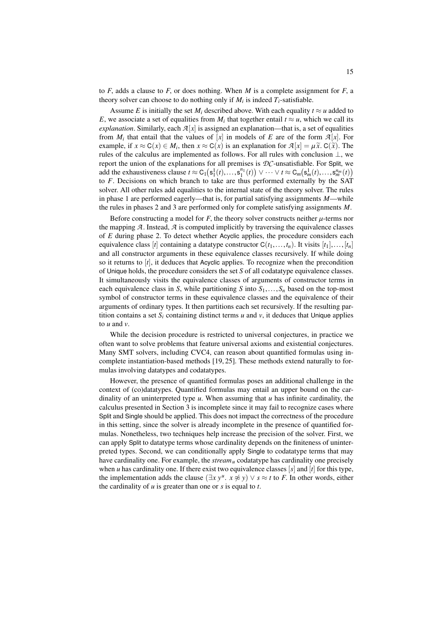to  $F$ , adds a clause to  $F$ , or does nothing. When  $M$  is a complete assignment for  $F$ , a theory solver can choose to do nothing only if  $M_i$  is indeed  $T_i$ -satisfiable.

Assume *E* is initially the set  $M_i$  described above. With each equality  $t \approx u$  added to *E*, we associate a set of equalities from  $M_i$  that together entail  $t \approx u$ , which we call its *explanation*. Similarly, each  $\mathcal{A}[x]$  is assigned an explanation—that is, a set of equalities from  $M_i$  that entail that the values of  $[x]$  in models of  $E$  are of the form  $\mathcal{A}[x]$ . For example, if  $x \approx C(x) \in M_i$ , then  $x \approx C(x)$  is an explanation for  $\mathcal{A}[x] = \mu \tilde{x}$ .  $C(\tilde{x})$ . The rules of the calculus are implemented as follows. For all rules with conclusion  $\perp$  we rules of the calculus are implemented as follows. For all rules with conclusion ⊥, we report the union of the explanations for all premises is *DC*-unsatisfiable. For Split, we add the exhaustiveness clause  $t \approx C_1(s_1^1(t),...,s_1^{n_1}(t)) \vee \cdots \vee t \approx C_m(s_m^1(t),...,s_m^{n_m}(t))$ <br>to E. Decisions on which branch to take are thus performed externally by the SAT to *F*. Decisions on which branch to take are thus performed externally by the SAT solver. All other rules add equalities to the internal state of the theory solver. The rules in phase 1 are performed eagerly—that is, for partial satisfying assignments *M*—while the rules in phases 2 and 3 are performed only for complete satisfying assignments *M*.

Before constructing a model for  $F$ , the theory solver constructs neither  $\mu$ -terms nor the mapping  $\mathcal A$ . Instead,  $\mathcal A$  is computed implicitly by traversing the equivalence classes of *E* during phase 2. To detect whether Acyclic applies, the procedure considers each equivalence class [*t*] containing a datatype constructor  $C(t_1,...,t_n)$ . It visits  $[t_1],...,[t_n]$ and all constructor arguments in these equivalence classes recursively. If while doing so it returns to [*t*], it deduces that Acyclic applies. To recognize when the precondition of Unique holds, the procedure considers the set *S* of all codatatype equivalence classes. It simultaneously visits the equivalence classes of arguments of constructor terms in each equivalence class in *S*, while partitioning *S* into  $S_1, \ldots, S_n$  based on the top-most symbol of constructor terms in these equivalence classes and the equivalence of their arguments of ordinary types. It then partitions each set recursively. If the resulting partition contains a set  $S_i$  containing distinct terms  $u$  and  $v$ , it deduces that Unique applies to *u* and *v*.

While the decision procedure is restricted to universal conjectures, in practice we often want to solve problems that feature universal axioms and existential conjectures. Many SMT solvers, including CVC4, can reason about quantified formulas using incomplete instantiation-based methods [\[19,](#page-18-13) [25\]](#page-18-14). These methods extend naturally to formulas involving datatypes and codatatypes.

However, the presence of quantified formulas poses an additional challenge in the context of (co)datatypes. Quantified formulas may entail an upper bound on the cardinality of an uninterpreted type *u*. When assuming that *u* has infinite cardinality, the calculus presented in Section [3](#page-5-0) is incomplete since it may fail to recognize cases where Split and Single should be applied. This does not impact the correctness of the procedure in this setting, since the solver is already incomplete in the presence of quantified formulas. Nonetheless, two techniques help increase the precision of the solver. First, we can apply Split to datatype terms whose cardinality depends on the finiteness of uninterpreted types. Second, we can conditionally apply Single to codatatype terms that may have cardinality one. For example, the *stream<sup>u</sup>* codatatype has cardinality one precisely when *u* has cardinality one. If there exist two equivalence classes [ $s$ ] and [ $t$ ] for this type, the implementation adds the clause  $(\exists x y^u, x \not\approx y) \vee s \approx t$  to *F*. In other words, either the cardinality of *u* is greater than one or s is equal to *t* the cardinality of *u* is greater than one or *s* is equal to *t*.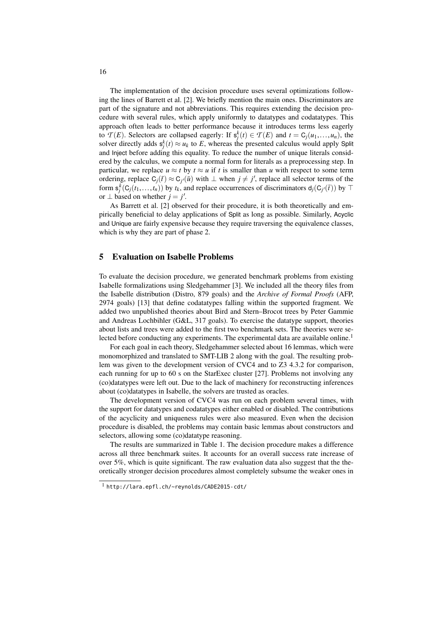The implementation of the decision procedure uses several optimizations following the lines of Barrett et al. [\[2\]](#page-17-0). We briefly mention the main ones. Discriminators are part of the signature and not abbreviations. This requires extending the decision procedure with several rules, which apply uniformly to datatypes and codatatypes. This approach often leads to better performance because it introduces terms less eagerly to  $\mathcal{T}(E)$ . Selectors are collapsed eagerly: If  $s_f^k(t) \in \mathcal{T}(E)$  and  $t = C_j(u_1, \ldots, u_n)$ , the solver directly adds  $s^k(t) \approx u$ , to E whereas the presented calculus would apply Split solver directly adds  $s_j^k(t) \approx u_k$  to *E*, whereas the presented calculus would apply Split and Inject before adding this equality. To reduce the number of unique literals considered by the calculus, we compute a normal form for literals as a preprocessing step. In particular, we replace  $u \approx t$  by  $t \approx u$  if t is smaller than u with respect to some term ordering, replace  $C_j(\bar{t}) \approx C_{j'}(\bar{u})$  with  $\perp$  when  $j \neq j'$ , replace all selector terms of the form  $s_j^k(C_j(t_1,...,t_n))$  by  $t_k$ , and replace occurrences of discriminators  $d_j(C_j(\bar{t}))$  by  $\top$ or  $\perp$  based on whether  $j = j'$ .

As Barrett et al. [\[2\]](#page-17-0) observed for their procedure, it is both theoretically and empirically beneficial to delay applications of Split as long as possible. Similarly, Acyclic and Unique are fairly expensive because they require traversing the equivalence classes, which is why they are part of phase 2.

### <span id="page-15-0"></span>5 Evaluation on Isabelle Problems

To evaluate the decision procedure, we generated benchmark problems from existing Isabelle formalizations using Sledgehammer [\[3\]](#page-17-3). We included all the theory files from the Isabelle distribution (Distro, 879 goals) and the *Archive of Formal Proofs* (AFP, 2974 goals) [\[13\]](#page-17-12) that define codatatypes falling within the supported fragment. We added two unpublished theories about Bird and Stern–Brocot trees by Peter Gammie and Andreas Lochbihler (G&L, 317 goals). To exercise the datatype support, theories about lists and trees were added to the first two benchmark sets. The theories were se-lected before conducting any experiments. The experimental data are available online.<sup>[1](#page-15-1)</sup>

For each goal in each theory, Sledgehammer selected about 16 lemmas, which were monomorphized and translated to SMT-LIB 2 along with the goal. The resulting problem was given to the development version of CVC4 and to Z3 4.3.2 for comparison, each running for up to 60 s on the StarExec cluster [\[27\]](#page-18-15). Problems not involving any (co)datatypes were left out. Due to the lack of machinery for reconstructing inferences about (co)datatypes in Isabelle, the solvers are trusted as oracles.

The development version of CVC4 was run on each problem several times, with the support for datatypes and codatatypes either enabled or disabled. The contributions of the acyclicity and uniqueness rules were also measured. Even when the decision procedure is disabled, the problems may contain basic lemmas about constructors and selectors, allowing some (co)datatype reasoning.

The results are summarized in Table [1.](#page-16-0) The decision procedure makes a difference across all three benchmark suites. It accounts for an overall success rate increase of over 5%, which is quite significant. The raw evaluation data also suggest that the theoretically stronger decision procedures almost completely subsume the weaker ones in

<span id="page-15-1"></span><sup>1</sup> <http://lara.epfl.ch/~reynolds/CADE2015-cdt/>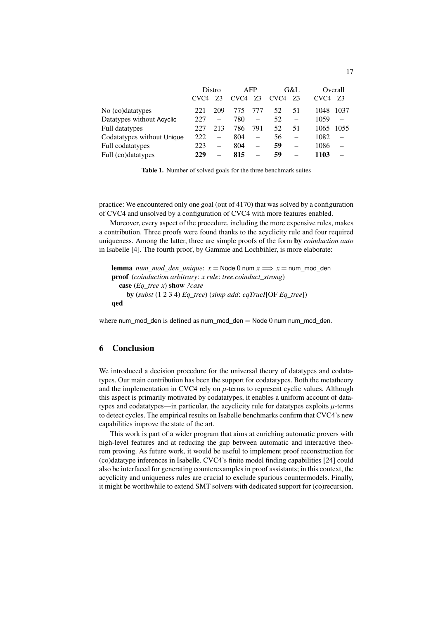|                            | Distro           |          | <b>AFP</b>       |     | G&L              |                          | Overall          |                |
|----------------------------|------------------|----------|------------------|-----|------------------|--------------------------|------------------|----------------|
|                            | CVC <sub>4</sub> | 73       | CVC <sub>4</sub> | Z3  | CVC <sub>4</sub> | Z3                       | CVC <sub>4</sub> | Z3             |
| No (co)datatypes           | 221              | 209      | 775              | 777 | 52               | 51                       | 1048             | 1037           |
| Datatypes without Acyclic  | 227              | L.       | 780              |     | 52               | $\overline{\phantom{0}}$ | 1059             |                |
| Full datatypes             | 227              | 213      | 786              | 791 | 52.              | 51                       | 1065             | 1055           |
| Codatatypes without Unique | 222              | $\equiv$ | 804              |     | 56               | $\equiv$                 | 1082             |                |
| Full codatatypes           | 223              | $\equiv$ | 804              |     | 59               |                          | 1086             | $\overline{a}$ |
| Full (co)datatypes         | 229              |          | 815              |     | 59               |                          | 1103             |                |

<span id="page-16-0"></span>Table 1. Number of solved goals for the three benchmark suites

practice: We encountered only one goal (out of 4170) that was solved by a configuration of CVC4 and unsolved by a configuration of CVC4 with more features enabled.

Moreover, every aspect of the procedure, including the more expensive rules, makes a contribution. Three proofs were found thanks to the acyclicity rule and four required uniqueness. Among the latter, three are simple proofs of the form by *coinduction auto* in Isabelle [\[4\]](#page-17-13). The fourth proof, by Gammie and Lochbihler, is more elaborate:

```
lemma num\_mod\_den\_unique: x = Node0 num x \implies x = num\_mod\_denproof (coinduction arbitrary: x rule: tree.coinduct_strong)
  case (Eq_tree x) show ?case
    by (subst (1 2 3 4) Eq_tree) (simp add: eqTrueI[OF Eq_tree])
qed
```
where num\_mod\_den is defined as num\_mod\_den = Node 0 num num\_mod\_den.

## 6 Conclusion

We introduced a decision procedure for the universal theory of datatypes and codatatypes. Our main contribution has been the support for codatatypes. Both the metatheory and the implementation in CVC4 rely on  $\mu$ -terms to represent cyclic values. Although this aspect is primarily motivated by codatatypes, it enables a uniform account of datatypes and codatatypes—in particular, the acyclicity rule for datatypes exploits  $\mu$ -terms to detect cycles. The empirical results on Isabelle benchmarks confirm that CVC4's new capabilities improve the state of the art.

This work is part of a wider program that aims at enriching automatic provers with high-level features and at reducing the gap between automatic and interactive theorem proving. As future work, it would be useful to implement proof reconstruction for (co)datatype inferences in Isabelle. CVC4's finite model finding capabilities [\[24\]](#page-18-4) could also be interfaced for generating counterexamples in proof assistants; in this context, the acyclicity and uniqueness rules are crucial to exclude spurious countermodels. Finally, it might be worthwhile to extend SMT solvers with dedicated support for (co)recursion.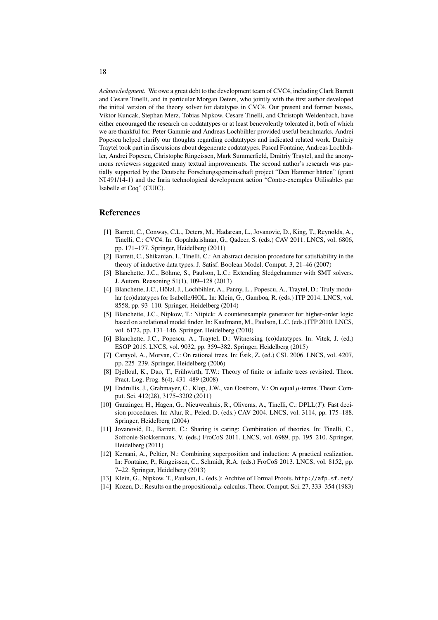*Acknowledgment.* We owe a great debt to the development team of CVC4, including Clark Barrett and Cesare Tinelli, and in particular Morgan Deters, who jointly with the first author developed the initial version of the theory solver for datatypes in CVC4. Our present and former bosses, Viktor Kuncak, Stephan Merz, Tobias Nipkow, Cesare Tinelli, and Christoph Weidenbach, have either encouraged the research on codatatypes or at least benevolently tolerated it, both of which we are thankful for. Peter Gammie and Andreas Lochbihler provided useful benchmarks. Andrei Popescu helped clarify our thoughts regarding codatatypes and indicated related work. Dmitriy Traytel took part in discussions about degenerate codatatypes. Pascal Fontaine, Andreas Lochbihler, Andrei Popescu, Christophe Ringeissen, Mark Summerfield, Dmitriy Traytel, and the anonymous reviewers suggested many textual improvements. The second author's research was partially supported by the Deutsche Forschungsgemeinschaft project "Den Hammer härten" (grant NI 491/14-1) and the Inria technological development action "Contre-exemples Utilisables par Isabelle et Coq" (CUIC).

### References

- <span id="page-17-2"></span>[1] Barrett, C., Conway, C.L., Deters, M., Hadarean, L., Jovanovic, D., King, T., Reynolds, A., Tinelli, C.: CVC4. In: Gopalakrishnan, G., Qadeer, S. (eds.) CAV 2011. LNCS, vol. 6806, pp. 171–177. Springer, Heidelberg (2011)
- <span id="page-17-0"></span>[2] Barrett, C., Shikanian, I., Tinelli, C.: An abstract decision procedure for satisfiability in the theory of inductive data types. J. Satisf. Boolean Model. Comput. 3, 21–46 (2007)
- <span id="page-17-3"></span>[3] Blanchette, J.C., Böhme, S., Paulson, L.C.: Extending Sledgehammer with SMT solvers. J. Autom. Reasoning 51(1), 109–128 (2013)
- <span id="page-17-13"></span>[4] Blanchette, J.C., Hölzl, J., Lochbihler, A., Panny, L., Popescu, A., Traytel, D.: Truly modular (co)datatypes for Isabelle/HOL. In: Klein, G., Gamboa, R. (eds.) ITP 2014. LNCS, vol. 8558, pp. 93–110. Springer, Heidelberg (2014)
- <span id="page-17-5"></span>[5] Blanchette, J.C., Nipkow, T.: Nitpick: A counterexample generator for higher-order logic based on a relational model finder. In: Kaufmann, M., Paulson, L.C. (eds.) ITP 2010. LNCS, vol. 6172, pp. 131–146. Springer, Heidelberg (2010)
- <span id="page-17-1"></span>[6] Blanchette, J.C., Popescu, A., Traytel, D.: Witnessing (co)datatypes. In: Vitek, J. (ed.) ESOP 2015. LNCS, vol. 9032, pp. 359–382. Springer, Heidelberg (2015)
- <span id="page-17-6"></span>[7] Carayol, A., Morvan, C.: On rational trees. In: Ésik, Z. (ed.) CSL 2006. LNCS, vol. 4207, pp. 225–239. Springer, Heidelberg (2006)
- <span id="page-17-7"></span>[8] Djelloul, K., Dao, T., Frühwirth, T.W.: Theory of finite or infinite trees revisited. Theor. Pract. Log. Prog. 8(4), 431–489 (2008)
- <span id="page-17-8"></span>[9] Endrullis, J., Grabmayer, C., Klop, J.W., van Oostrom, V.: On equal µ-terms. Theor. Comput. Sci. 412(28), 3175–3202 (2011)
- <span id="page-17-10"></span>[10] Ganzinger, H., Hagen, G., Nieuwenhuis, R., Oliveras, A., Tinelli, C.: DPLL(*T*): Fast decision procedures. In: Alur, R., Peled, D. (eds.) CAV 2004. LNCS, vol. 3114, pp. 175–188. Springer, Heidelberg (2004)
- <span id="page-17-11"></span>[11] Jovanovic, D., Barrett, C.: Sharing is caring: Combination of theories. In: Tinelli, C., ´ Sofronie-Stokkermans, V. (eds.) FroCoS 2011. LNCS, vol. 6989, pp. 195–210. Springer, Heidelberg (2011)
- <span id="page-17-4"></span>[12] Kersani, A., Peltier, N.: Combining superposition and induction: A practical realization. In: Fontaine, P., Ringeissen, C., Schmidt, R.A. (eds.) FroCoS 2013. LNCS, vol. 8152, pp. 7–22. Springer, Heidelberg (2013)
- <span id="page-17-12"></span>[13] Klein, G., Nipkow, T., Paulson, L. (eds.): Archive of Formal Proofs. <http://afp.sf.net/>
- <span id="page-17-9"></span>[14] Kozen, D.: Results on the propositional  $\mu$ -calculus. Theor. Comput. Sci. 27, 333–354 (1983)